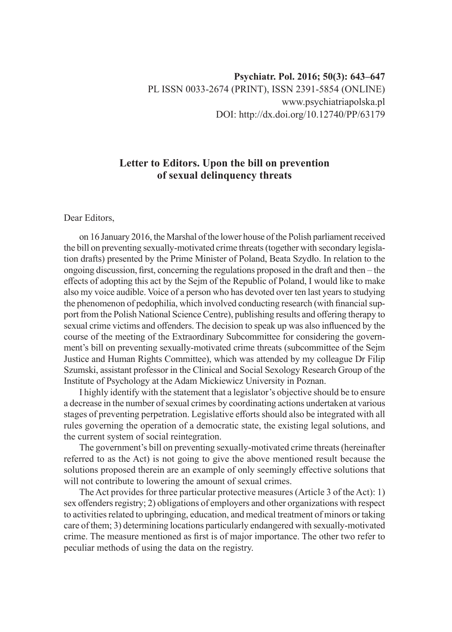## **Letter to Editors. Upon the bill on prevention of sexual delinquency threats**

## Dear Editors,

on 16 January 2016, the Marshal of the lower house of the Polish parliament received the bill on preventing sexually-motivated crime threats (together with secondary legislation drafts) presented by the Prime Minister of Poland, Beata Szydło. In relation to the ongoing discussion, first, concerning the regulations proposed in the draft and then – the effects of adopting this act by the Sejm of the Republic of Poland, I would like to make also my voice audible. Voice of a person who has devoted over ten last years to studying the phenomenon of pedophilia, which involved conducting research (with financial support from the Polish National Science Centre), publishing results and offering therapy to sexual crime victims and offenders. The decision to speak up was also influenced by the course of the meeting of the Extraordinary Subcommittee for considering the government's bill on preventing sexually-motivated crime threats (subcommittee of the Sejm Justice and Human Rights Committee), which was attended by my colleague Dr Filip Szumski, assistant professor in the Clinical and Social Sexology Research Group of the Institute of Psychology at the Adam Mickiewicz University in Poznan.

I highly identify with the statement that a legislator's objective should be to ensure a decrease in the number of sexual crimes by coordinating actions undertaken at various stages of preventing perpetration. Legislative efforts should also be integrated with all rules governing the operation of a democratic state, the existing legal solutions, and the current system of social reintegration.

The government's bill on preventing sexually-motivated crime threats (hereinafter referred to as the Act) is not going to give the above mentioned result because the solutions proposed therein are an example of only seemingly effective solutions that will not contribute to lowering the amount of sexual crimes.

The Act provides for three particular protective measures (Article 3 of the Act): 1) sex offenders registry; 2) obligations of employers and other organizations with respect to activities related to upbringing, education, and medical treatment of minors or taking care of them; 3) determining locations particularly endangered with sexually-motivated crime. The measure mentioned as first is of major importance. The other two refer to peculiar methods of using the data on the registry.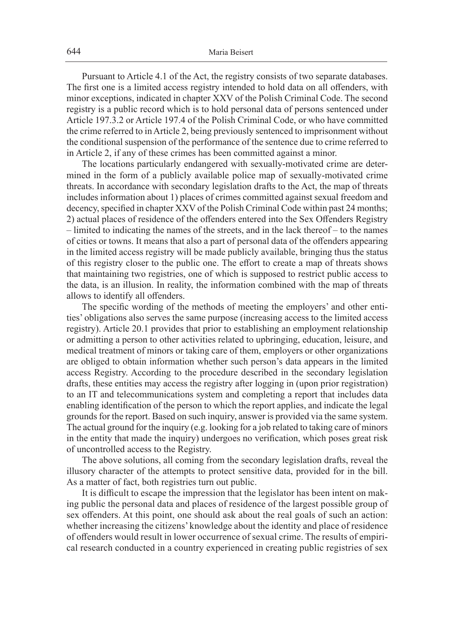Pursuant to Article 4.1 of the Act, the registry consists of two separate databases. The first one is a limited access registry intended to hold data on all offenders, with minor exceptions, indicated in chapter XXV of the Polish Criminal Code. The second registry is a public record which is to hold personal data of persons sentenced under Article 197.3.2 or Article 197.4 of the Polish Criminal Code, or who have committed the crime referred to in Article 2, being previously sentenced to imprisonment without the conditional suspension of the performance of the sentence due to crime referred to in Article 2, if any of these crimes has been committed against a minor.

The locations particularly endangered with sexually-motivated crime are determined in the form of a publicly available police map of sexually-motivated crime threats. In accordance with secondary legislation drafts to the Act, the map of threats includes information about 1) places of crimes committed against sexual freedom and decency, specified in chapter XXV of the Polish Criminal Code within past 24 months; 2) actual places of residence of the offenders entered into the Sex Offenders Registry – limited to indicating the names of the streets, and in the lack thereof – to the names of cities or towns. It means that also a part of personal data of the offenders appearing in the limited access registry will be made publicly available, bringing thus the status of this registry closer to the public one. The effort to create a map of threats shows that maintaining two registries, one of which is supposed to restrict public access to the data, is an illusion. In reality, the information combined with the map of threats allows to identify all offenders.

The specific wording of the methods of meeting the employers' and other entities' obligations also serves the same purpose (increasing access to the limited access registry). Article 20.1 provides that prior to establishing an employment relationship or admitting a person to other activities related to upbringing, education, leisure, and medical treatment of minors or taking care of them, employers or other organizations are obliged to obtain information whether such person's data appears in the limited access Registry. According to the procedure described in the secondary legislation drafts, these entities may access the registry after logging in (upon prior registration) to an IT and telecommunications system and completing a report that includes data enabling identification of the person to which the report applies, and indicate the legal grounds for the report. Based on such inquiry, answer is provided via the same system. The actual ground for the inquiry (e.g. looking for a job related to taking care of minors in the entity that made the inquiry) undergoes no verification, which poses great risk of uncontrolled access to the Registry.

The above solutions, all coming from the secondary legislation drafts, reveal the illusory character of the attempts to protect sensitive data, provided for in the bill. As a matter of fact, both registries turn out public.

It is difficult to escape the impression that the legislator has been intent on making public the personal data and places of residence of the largest possible group of sex offenders. At this point, one should ask about the real goals of such an action: whether increasing the citizens' knowledge about the identity and place of residence of offenders would result in lower occurrence of sexual crime. The results of empirical research conducted in a country experienced in creating public registries of sex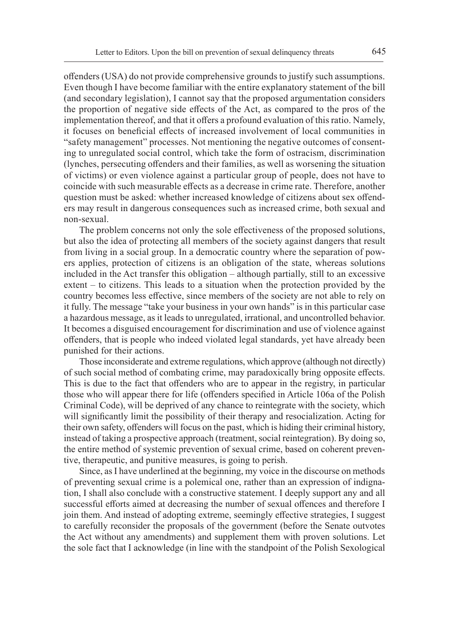offenders (USA) do not provide comprehensive grounds to justify such assumptions. Even though I have become familiar with the entire explanatory statement of the bill (and secondary legislation), I cannot say that the proposed argumentation considers the proportion of negative side effects of the Act, as compared to the pros of the implementation thereof, and that it offers a profound evaluation of this ratio. Namely, it focuses on beneficial effects of increased involvement of local communities in "safety management" processes. Not mentioning the negative outcomes of consenting to unregulated social control, which take the form of ostracism, discrimination (lynches, persecuting offenders and their families, as well as worsening the situation of victims) or even violence against a particular group of people, does not have to coincide with such measurable effects as a decrease in crime rate. Therefore, another question must be asked: whether increased knowledge of citizens about sex offenders may result in dangerous consequences such as increased crime, both sexual and non-sexual.

The problem concerns not only the sole effectiveness of the proposed solutions, but also the idea of protecting all members of the society against dangers that result from living in a social group. In a democratic country where the separation of powers applies, protection of citizens is an obligation of the state, whereas solutions included in the Act transfer this obligation – although partially, still to an excessive extent – to citizens. This leads to a situation when the protection provided by the country becomes less effective, since members of the society are not able to rely on it fully. The message "take your business in your own hands" is in this particular case a hazardous message, as it leads to unregulated, irrational, and uncontrolled behavior. It becomes a disguised encouragement for discrimination and use of violence against offenders, that is people who indeed violated legal standards, yet have already been punished for their actions.

Those inconsiderate and extreme regulations, which approve (although not directly) of such social method of combating crime, may paradoxically bring opposite effects. This is due to the fact that offenders who are to appear in the registry, in particular those who will appear there for life (offenders specified in Article 106a of the Polish Criminal Code), will be deprived of any chance to reintegrate with the society, which will significantly limit the possibility of their therapy and resocialization. Acting for their own safety, offenders will focus on the past, which is hiding their criminal history, instead of taking a prospective approach (treatment, social reintegration). By doing so, the entire method of systemic prevention of sexual crime, based on coherent preventive, therapeutic, and punitive measures, is going to perish.

Since, as I have underlined at the beginning, my voice in the discourse on methods of preventing sexual crime is a polemical one, rather than an expression of indignation, I shall also conclude with a constructive statement. I deeply support any and all successful efforts aimed at decreasing the number of sexual offences and therefore I join them. And instead of adopting extreme, seemingly effective strategies, I suggest to carefully reconsider the proposals of the government (before the Senate outvotes the Act without any amendments) and supplement them with proven solutions. Let the sole fact that I acknowledge (in line with the standpoint of the Polish Sexological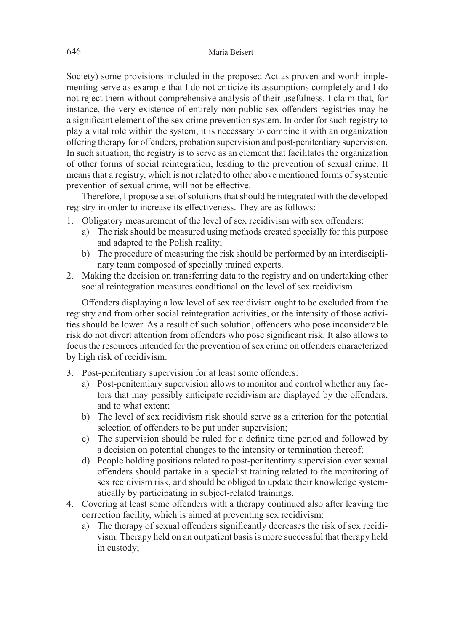Society) some provisions included in the proposed Act as proven and worth implementing serve as example that I do not criticize its assumptions completely and I do not reject them without comprehensive analysis of their usefulness. I claim that, for instance, the very existence of entirely non-public sex offenders registries may be a significant element of the sex crime prevention system. In order for such registry to play a vital role within the system, it is necessary to combine it with an organization offering therapy for offenders, probation supervision and post-penitentiary supervision. In such situation, the registry is to serve as an element that facilitates the organization of other forms of social reintegration, leading to the prevention of sexual crime. It means that a registry, which is not related to other above mentioned forms of systemic prevention of sexual crime, will not be effective.

Therefore, I propose a set of solutions that should be integrated with the developed registry in order to increase its effectiveness. They are as follows:

- 1. Obligatory measurement of the level of sex recidivism with sex offenders:
	- a) The risk should be measured using methods created specially for this purpose and adapted to the Polish reality;
	- b) The procedure of measuring the risk should be performed by an interdisciplinary team composed of specially trained experts.
- 2. Making the decision on transferring data to the registry and on undertaking other social reintegration measures conditional on the level of sex recidivism.

Offenders displaying a low level of sex recidivism ought to be excluded from the registry and from other social reintegration activities, or the intensity of those activities should be lower. As a result of such solution, offenders who pose inconsiderable risk do not divert attention from offenders who pose significant risk. It also allows to focus the resources intended for the prevention of sex crime on offenders characterized by high risk of recidivism.

- 3. Post-penitentiary supervision for at least some offenders:
	- a) Post-penitentiary supervision allows to monitor and control whether any factors that may possibly anticipate recidivism are displayed by the offenders, and to what extent;
	- b) The level of sex recidivism risk should serve as a criterion for the potential selection of offenders to be put under supervision;
	- c) The supervision should be ruled for a definite time period and followed by a decision on potential changes to the intensity or termination thereof;
	- d) People holding positions related to post-penitentiary supervision over sexual offenders should partake in a specialist training related to the monitoring of sex recidivism risk, and should be obliged to update their knowledge systematically by participating in subject-related trainings.
- 4. Covering at least some offenders with a therapy continued also after leaving the correction facility, which is aimed at preventing sex recidivism:
	- a) The therapy of sexual offenders significantly decreases the risk of sex recidivism. Therapy held on an outpatient basis is more successful that therapy held in custody;